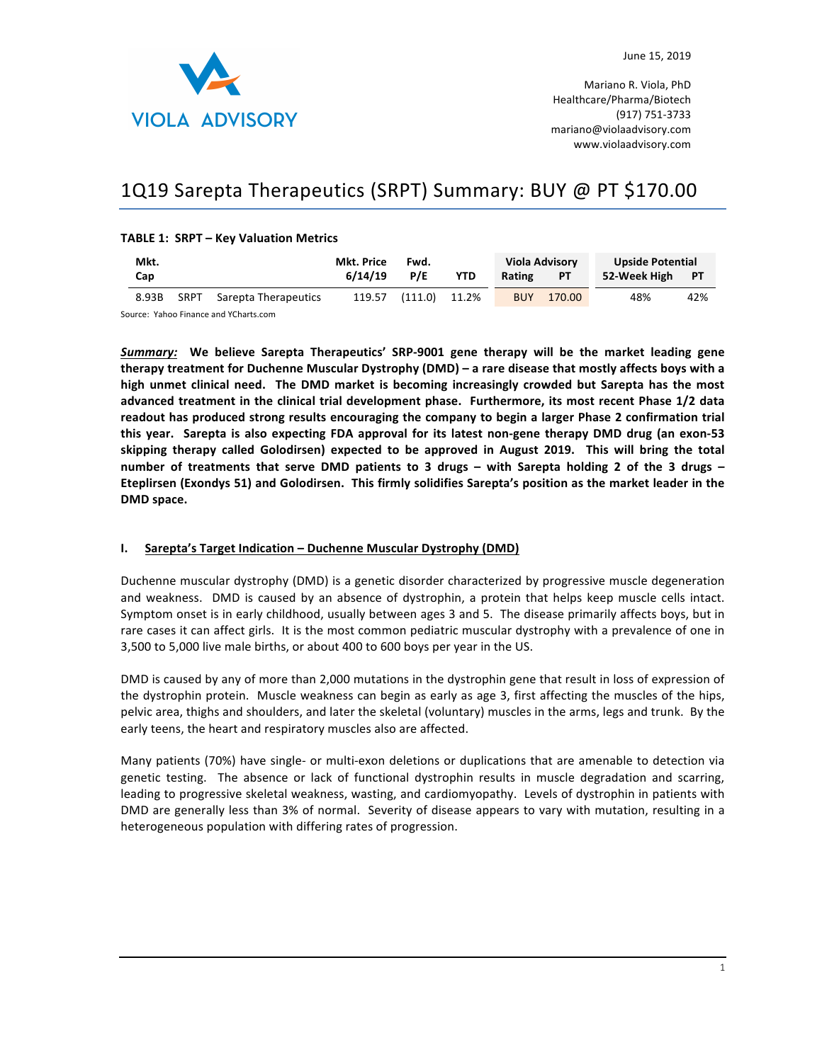

Mariano R. Viola, PhD Healthcare/Pharma/Biotech (917) 751-3733 mariano@violaadvisory.com www.violaadvisory.com

# 1Q19 Sarepta Therapeutics (SRPT) Summary: BUY @ PT \$170.00

### **TABLE 1: SRPT - Key Valuation Metrics**

| Mkt.  |      | Mkt. Price           | Fwd.    |                      | <b>Viola Advisory</b> |            | <b>Upside Potential</b> |                 |     |
|-------|------|----------------------|---------|----------------------|-----------------------|------------|-------------------------|-----------------|-----|
| Cap   |      |                      | 6/14/19 | P/E                  | <b>YTD</b>            | Rating     | <b>PT</b>               | 52-Week High PT |     |
| 8.93B | SRPT | Sarepta Therapeutics |         | 119.57 (111.0) 11.2% |                       | <b>BUY</b> | 170.00                  | 48%             | 42% |

Source: Yahoo Finance and YCharts.com

*Summary:* We believe Sarepta Therapeutics' SRP-9001 gene therapy will be the market leading gene therapy treatment for Duchenne Muscular Dystrophy (DMD) – a rare disease that mostly affects boys with a high unmet clinical need. The DMD market is becoming increasingly crowded but Sarepta has the most advanced treatment in the clinical trial development phase. Furthermore, its most recent Phase 1/2 data readout has produced strong results encouraging the company to begin a larger Phase 2 confirmation trial this year. Sarepta is also expecting FDA approval for its latest non-gene therapy DMD drug (an exon-53 skipping therapy called Golodirsen) expected to be approved in August 2019. This will bring the total **number** of treatments that serve DMD patients to 3 drugs – with Sarepta holding 2 of the 3 drugs – Eteplirsen (Exondys 51) and Golodirsen. This firmly solidifies Sarepta's position as the market leader in the DMD space.

# **I.** Sarepta's Target Indication – Duchenne Muscular Dystrophy (DMD)

Duchenne muscular dystrophy (DMD) is a genetic disorder characterized by progressive muscle degeneration and weakness. DMD is caused by an absence of dystrophin, a protein that helps keep muscle cells intact. Symptom onset is in early childhood, usually between ages 3 and 5. The disease primarily affects boys, but in rare cases it can affect girls. It is the most common pediatric muscular dystrophy with a prevalence of one in 3,500 to 5,000 live male births, or about 400 to 600 boys per year in the US.

DMD is caused by any of more than 2,000 mutations in the dystrophin gene that result in loss of expression of the dystrophin protein. Muscle weakness can begin as early as age 3, first affecting the muscles of the hips, pelvic area, thighs and shoulders, and later the skeletal (voluntary) muscles in the arms, legs and trunk. By the early teens, the heart and respiratory muscles also are affected.

Many patients (70%) have single- or multi-exon deletions or duplications that are amenable to detection via genetic testing. The absence or lack of functional dystrophin results in muscle degradation and scarring, leading to progressive skeletal weakness, wasting, and cardiomyopathy. Levels of dystrophin in patients with DMD are generally less than 3% of normal. Severity of disease appears to vary with mutation, resulting in a heterogeneous population with differing rates of progression.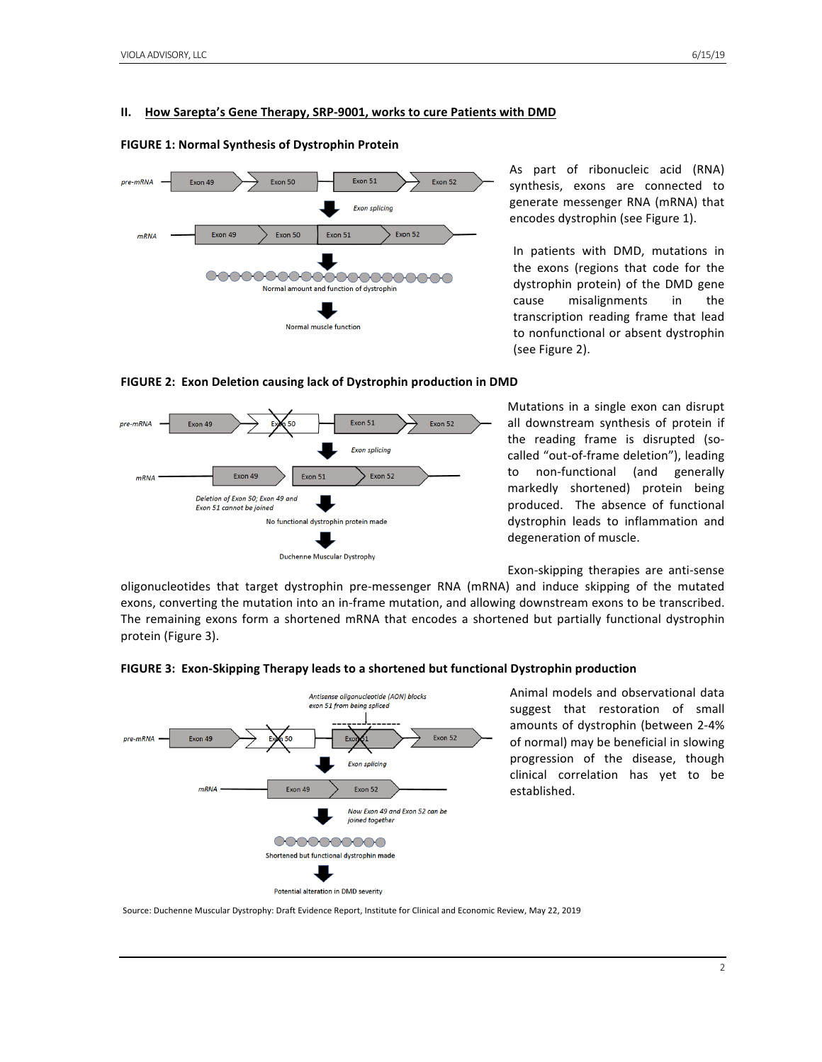#### **II.** How Sarepta's Gene Therapy, SRP-9001, works to cure Patients with DMD

#### **FIGURE 1: Normal Synthesis of Dystrophin Protein**



As part of ribonucleic acid (RNA) synthesis, exons are connected to generate messenger RNA (mRNA) that encodes dystrophin (see Figure 1).

In patients with DMD, mutations in the exons (regions that code for the dystrophin protein) of the DMD gene cause misalignments in the transcription reading frame that lead to nonfunctional or absent dystrophin (see Figure 2).



**FIGURE 2: Exon Deletion causing lack of Dystrophin production in DMD** 

Mutations in a single exon can disrupt all downstream synthesis of protein if the reading frame is disrupted (socalled "out-of-frame deletion"), leading to non-functional (and generally markedly shortened) protein being produced. The absence of functional dystrophin leads to inflammation and degeneration of muscle.

Exon-skipping therapies are anti-sense

oligonucleotides that target dystrophin pre-messenger RNA (mRNA) and induce skipping of the mutated exons, converting the mutation into an in-frame mutation, and allowing downstream exons to be transcribed. The remaining exons form a shortened mRNA that encodes a shortened but partially functional dystrophin protein (Figure 3).



**FIGURE 3: Exon-Skipping Therapy leads to a shortened but functional Dystrophin production** 

Animal models and observational data suggest that restoration of small amounts of dystrophin (between 2-4% of normal) may be beneficial in slowing progression of the disease, though clinical correlation has yet to be established. 

Source: Duchenne Muscular Dystrophy: Draft Evidence Report, Institute for Clinical and Economic Review, May 22, 2019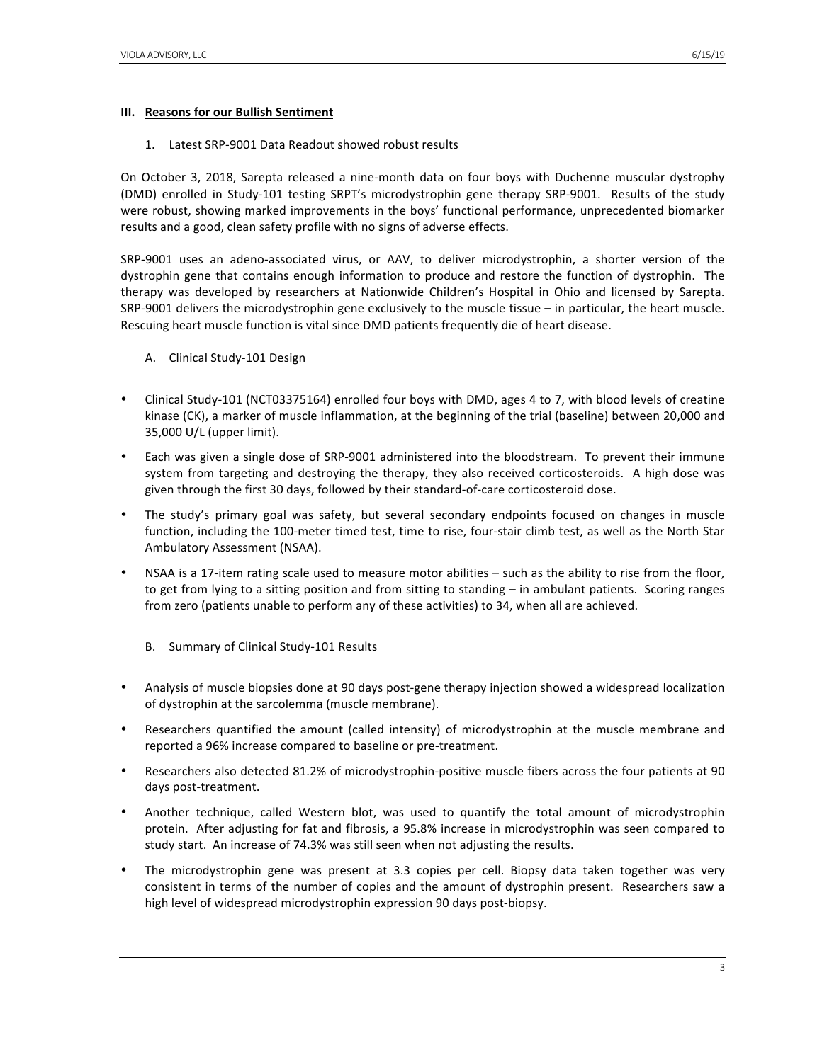### **III.** Reasons for our Bullish Sentiment

### 1. Latest SRP-9001 Data Readout showed robust results

On October 3, 2018, Sarepta released a nine-month data on four boys with Duchenne muscular dystrophy (DMD) enrolled in Study-101 testing SRPT's microdystrophin gene therapy SRP-9001. Results of the study were robust, showing marked improvements in the boys' functional performance, unprecedented biomarker results and a good, clean safety profile with no signs of adverse effects.

SRP-9001 uses an adeno-associated virus, or AAV, to deliver microdystrophin, a shorter version of the dystrophin gene that contains enough information to produce and restore the function of dystrophin. The therapy was developed by researchers at Nationwide Children's Hospital in Ohio and licensed by Sarepta. SRP-9001 delivers the microdystrophin gene exclusively to the muscle tissue  $-$  in particular, the heart muscle. Rescuing heart muscle function is vital since DMD patients frequently die of heart disease.

# A. Clinical Study-101 Design

- Clinical Study-101 (NCT03375164) enrolled four boys with DMD, ages 4 to 7, with blood levels of creatine kinase (CK), a marker of muscle inflammation, at the beginning of the trial (baseline) between 20,000 and 35,000 U/L (upper limit).
- Each was given a single dose of SRP-9001 administered into the bloodstream. To prevent their immune system from targeting and destroying the therapy, they also received corticosteroids. A high dose was given through the first 30 days, followed by their standard-of-care corticosteroid dose.
- The study's primary goal was safety, but several secondary endpoints focused on changes in muscle function, including the 100-meter timed test, time to rise, four-stair climb test, as well as the North Star Ambulatory Assessment (NSAA).
- NSAA is a 17-item rating scale used to measure motor abilities  $-$  such as the ability to rise from the floor, to get from lying to a sitting position and from sitting to standing – in ambulant patients. Scoring ranges from zero (patients unable to perform any of these activities) to 34, when all are achieved.

# B. Summary of Clinical Study-101 Results

- Analysis of muscle biopsies done at 90 days post-gene therapy injection showed a widespread localization of dystrophin at the sarcolemma (muscle membrane).
- Researchers quantified the amount (called intensity) of microdystrophin at the muscle membrane and reported a 96% increase compared to baseline or pre-treatment.
- Researchers also detected 81.2% of microdystrophin-positive muscle fibers across the four patients at 90 days post-treatment.
- Another technique, called Western blot, was used to quantify the total amount of microdystrophin protein. After adjusting for fat and fibrosis, a 95.8% increase in microdystrophin was seen compared to study start. An increase of 74.3% was still seen when not adjusting the results.
- The microdystrophin gene was present at 3.3 copies per cell. Biopsy data taken together was very consistent in terms of the number of copies and the amount of dystrophin present. Researchers saw a high level of widespread microdystrophin expression 90 days post-biopsy.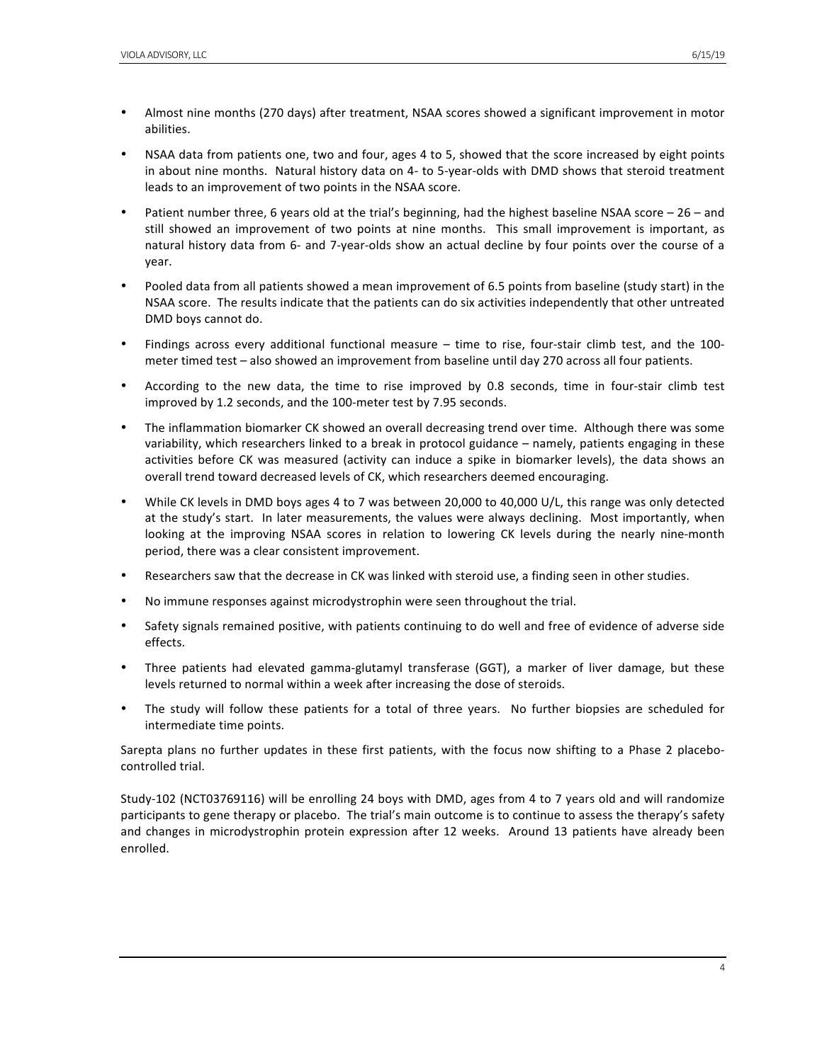- Almost nine months (270 days) after treatment, NSAA scores showed a significant improvement in motor abilities.
- NSAA data from patients one, two and four, ages 4 to 5, showed that the score increased by eight points in about nine months. Natural history data on 4- to 5-year-olds with DMD shows that steroid treatment leads to an improvement of two points in the NSAA score.
- Patient number three, 6 years old at the trial's beginning, had the highest baseline NSAA score 26 and still showed an improvement of two points at nine months. This small improvement is important, as natural history data from 6- and 7-year-olds show an actual decline by four points over the course of a year.
- Pooled data from all patients showed a mean improvement of 6.5 points from baseline (study start) in the NSAA score. The results indicate that the patients can do six activities independently that other untreated DMD boys cannot do.
- Findings across every additional functional measure time to rise, four-stair climb test, and the 100meter timed test - also showed an improvement from baseline until day 270 across all four patients.
- According to the new data, the time to rise improved by 0.8 seconds, time in four-stair climb test improved by 1.2 seconds, and the 100-meter test by 7.95 seconds.
- The inflammation biomarker CK showed an overall decreasing trend over time. Although there was some variability, which researchers linked to a break in protocol guidance – namely, patients engaging in these activities before CK was measured (activity can induce a spike in biomarker levels), the data shows an overall trend toward decreased levels of CK, which researchers deemed encouraging.
- While CK levels in DMD boys ages 4 to 7 was between 20,000 to 40,000 U/L, this range was only detected at the study's start. In later measurements, the values were always declining. Most importantly, when looking at the improving NSAA scores in relation to lowering CK levels during the nearly nine-month period, there was a clear consistent improvement.
- Researchers saw that the decrease in CK was linked with steroid use, a finding seen in other studies.
- No immune responses against microdystrophin were seen throughout the trial.
- Safety signals remained positive, with patients continuing to do well and free of evidence of adverse side effects.
- Three patients had elevated gamma-glutamyl transferase (GGT), a marker of liver damage, but these levels returned to normal within a week after increasing the dose of steroids.
- The study will follow these patients for a total of three years. No further biopsies are scheduled for intermediate time points.

Sarepta plans no further updates in these first patients, with the focus now shifting to a Phase 2 placebocontrolled trial.

Study-102 (NCT03769116) will be enrolling 24 boys with DMD, ages from 4 to 7 years old and will randomize participants to gene therapy or placebo. The trial's main outcome is to continue to assess the therapy's safety and changes in microdystrophin protein expression after 12 weeks. Around 13 patients have already been enrolled.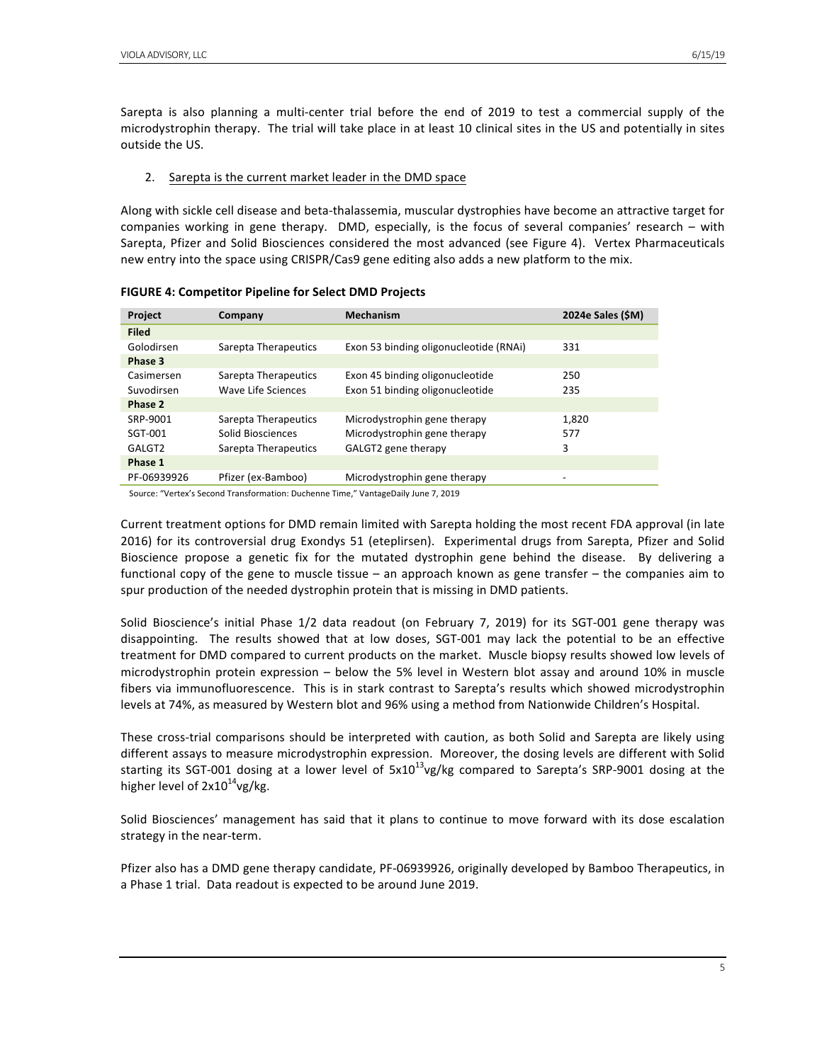#### 2. Sarepta is the current market leader in the DMD space

Along with sickle cell disease and beta-thalassemia, muscular dystrophies have become an attractive target for companies working in gene therapy. DMD, especially, is the focus of several companies' research  $-$  with Sarepta, Pfizer and Solid Biosciences considered the most advanced (see Figure 4). Vertex Pharmaceuticals new entry into the space using CRISPR/Cas9 gene editing also adds a new platform to the mix.

| Project      | Company              | <b>Mechanism</b>                       | 2024e Sales (\$M)            |
|--------------|----------------------|----------------------------------------|------------------------------|
| <b>Filed</b> |                      |                                        |                              |
| Golodirsen   | Sarepta Therapeutics | Exon 53 binding oligonucleotide (RNAi) | 331                          |
| Phase 3      |                      |                                        |                              |
| Casimersen   | Sarepta Therapeutics | Exon 45 binding oligonucleotide        | 250                          |
| Suvodirsen   | Wave Life Sciences   | Exon 51 binding oligonucleotide        | 235                          |
| Phase 2      |                      |                                        |                              |
| SRP-9001     | Sarepta Therapeutics | Microdystrophin gene therapy           | 1,820                        |
| SGT-001      | Solid Biosciences    | Microdystrophin gene therapy           | 577                          |
| GALGT2       | Sarepta Therapeutics | GALGT2 gene therapy                    | 3                            |
| Phase 1      |                      |                                        |                              |
| PF-06939926  | Pfizer (ex-Bamboo)   | Microdystrophin gene therapy           | $\qquad \qquad \blacksquare$ |

**FIGURE 4: Competitor Pipeline for Select DMD Projects**

Source: "Vertex's Second Transformation: Duchenne Time," VantageDaily June 7, 2019

Current treatment options for DMD remain limited with Sarepta holding the most recent FDA approval (in late 2016) for its controversial drug Exondys 51 (eteplirsen). Experimental drugs from Sarepta, Pfizer and Solid Bioscience propose a genetic fix for the mutated dystrophin gene behind the disease. By delivering a functional copy of the gene to muscle tissue  $-$  an approach known as gene transfer  $-$  the companies aim to spur production of the needed dystrophin protein that is missing in DMD patients.

Solid Bioscience's initial Phase  $1/2$  data readout (on February 7, 2019) for its SGT-001 gene therapy was disappointing. The results showed that at low doses, SGT-001 may lack the potential to be an effective treatment for DMD compared to current products on the market. Muscle biopsy results showed low levels of microdystrophin protein expression – below the 5% level in Western blot assay and around 10% in muscle fibers via immunofluorescence. This is in stark contrast to Sarepta's results which showed microdystrophin levels at 74%, as measured by Western blot and 96% using a method from Nationwide Children's Hospital.

These cross-trial comparisons should be interpreted with caution, as both Solid and Sarepta are likely using different assays to measure microdystrophin expression. Moreover, the dosing levels are different with Solid starting its SGT-001 dosing at a lower level of  $5x10^{13}$ vg/kg compared to Sarepta's SRP-9001 dosing at the higher level of  $2x10^{14}$ vg/kg.

Solid Biosciences' management has said that it plans to continue to move forward with its dose escalation strategy in the near-term.

Pfizer also has a DMD gene therapy candidate, PF-06939926, originally developed by Bamboo Therapeutics, in a Phase 1 trial. Data readout is expected to be around June 2019.